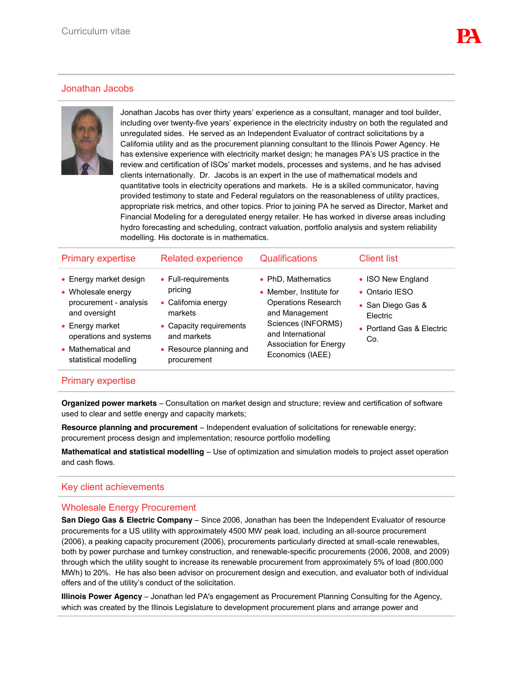# Jonathan Jacobs



Jonathan Jacobs has over thirty years' experience as a consultant, manager and tool builder, including over twenty-five years' experience in the electricity industry on both the regulated and unregulated sides. He served as an Independent Evaluator of contract solicitations by a California utility and as the procurement planning consultant to the Illinois Power Agency. He has extensive experience with electricity market design; he manages PA's US practice in the review and certification of ISOs' market models, processes and systems, and he has advised clients internationally. Dr. Jacobs is an expert in the use of mathematical models and quantitative tools in electricity operations and markets. He is a skilled communicator, having provided testimony to state and Federal regulators on the reasonableness of utility practices, appropriate risk metrics, and other topics. Prior to joining PA he served as Director, Market and Financial Modeling for a deregulated energy retailer. He has worked in diverse areas including hydro forecasting and scheduling, contract valuation, portfolio analysis and system reliability modelling. His doctorate is in mathematics.

| <b>Primary expertise</b>                                                                         | <b>Related experience</b>                                                        | <b>Qualifications</b>                                                                                                                                                                         | <b>Client list</b>                                                   |
|--------------------------------------------------------------------------------------------------|----------------------------------------------------------------------------------|-----------------------------------------------------------------------------------------------------------------------------------------------------------------------------------------------|----------------------------------------------------------------------|
| • Energy market design<br>• Wholesale energy<br>procurement - analysis<br>and oversight          | • Full-requirements<br>pricing<br>• California energy<br>markets                 | • PhD, Mathematics<br>• Member, Institute for<br><b>Operations Research</b><br>and Management<br>Sciences (INFORMS)<br>and International<br><b>Association for Energy</b><br>Economics (IAEE) | • ISO New England<br>• Ontario IFSO<br>• San Diego Gas &<br>Electric |
| $\bullet$ Energy market<br>operations and systems<br>• Mathematical and<br>statistical modelling | • Capacity requirements<br>and markets<br>• Resource planning and<br>procurement |                                                                                                                                                                                               | • Portland Gas & Electric<br>Co.                                     |
|                                                                                                  |                                                                                  |                                                                                                                                                                                               |                                                                      |

## Primary expertise

**Organized power markets** – Consultation on market design and structure; review and certification of software used to clear and settle energy and capacity markets;

**Resource planning and procurement** – Independent evaluation of solicitations for renewable energy; procurement process design and implementation; resource portfolio modelling

**Mathematical and statistical modelling** – Use of optimization and simulation models to project asset operation and cash flows.

## Key client achievements

#### Wholesale Energy Procurement

**San Diego Gas & Electric Company** – Since 2006, Jonathan has been the Independent Evaluator of resource procurements for a US utility with approximately 4500 MW peak load, including an all-source procurement (2006), a peaking capacity procurement (2006), procurements particularly directed at small-scale renewables, both by power purchase and turnkey construction, and renewable-specific procurements (2006, 2008, and 2009) through which the utility sought to increase its renewable procurement from approximately 5% of load (800,000 MWh) to 20%. He has also been advisor on procurement design and execution, and evaluator both of individual offers and of the utility's conduct of the solicitation.

**Illinois Power Agency** – Jonathan led PA's engagement as Procurement Planning Consulting for the Agency, which was created by the Illinois Legislature to development procurement plans and arrange power and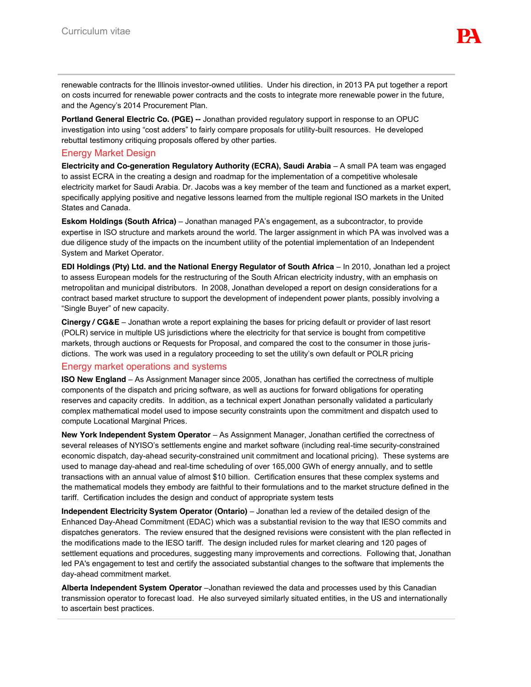renewable contracts for the Illinois investor-owned utilities. Under his direction, in 2013 PA put together a report on costs incurred for renewable power contracts and the costs to integrate more renewable power in the future, and the Agency's 2014 Procurement Plan.

**Portland General Electric Co. (PGE) --** Jonathan provided regulatory support in response to an OPUC investigation into using "cost adders" to fairly compare proposals for utility-built resources. He developed rebuttal testimony critiquing proposals offered by other parties.

### Energy Market Design

**Electricity and Co-generation Regulatory Authority (ECRA), Saudi Arabia** – A small PA team was engaged to assist ECRA in the creating a design and roadmap for the implementation of a competitive wholesale electricity market for Saudi Arabia. Dr. Jacobs was a key member of the team and functioned as a market expert, specifically applying positive and negative lessons learned from the multiple regional ISO markets in the United States and Canada.

**Eskom Holdings (South Africa)** – Jonathan managed PA's engagement, as a subcontractor, to provide expertise in ISO structure and markets around the world. The larger assignment in which PA was involved was a due diligence study of the impacts on the incumbent utility of the potential implementation of an Independent System and Market Operator.

**EDI Holdings (Pty) Ltd. and the National Energy Regulator of South Africa - In 2010, Jonathan led a project** to assess European models for the restructuring of the South African electricity industry, with an emphasis on metropolitan and municipal distributors. In 2008, Jonathan developed a report on design considerations for a contract based market structure to support the development of independent power plants, possibly involving a "Single Buyer" of new capacity.

**Cinergy / CG&E** – Jonathan wrote a report explaining the bases for pricing default or provider of last resort (POLR) service in multiple US jurisdictions where the electricity for that service is bought from competitive markets, through auctions or Requests for Proposal, and compared the cost to the consumer in those jurisdictions. The work was used in a regulatory proceeding to set the utility's own default or POLR pricing

#### Energy market operations and systems

**ISO New England** – As Assignment Manager since 2005, Jonathan has certified the correctness of multiple components of the dispatch and pricing software, as well as auctions for forward obligations for operating reserves and capacity credits. In addition, as a technical expert Jonathan personally validated a particularly complex mathematical model used to impose security constraints upon the commitment and dispatch used to compute Locational Marginal Prices.

**New York Independent System Operator** – As Assignment Manager, Jonathan certified the correctness of several releases of NYISO's settlements engine and market software (including real-time security-constrained economic dispatch, day-ahead security-constrained unit commitment and locational pricing). These systems are used to manage day-ahead and real-time scheduling of over 165,000 GWh of energy annually, and to settle transactions with an annual value of almost \$10 billion. Certification ensures that these complex systems and the mathematical models they embody are faithful to their formulations and to the market structure defined in the tariff. Certification includes the design and conduct of appropriate system tests

**Independent Electricity System Operator (Ontario)** – Jonathan led a review of the detailed design of the Enhanced Day-Ahead Commitment (EDAC) which was a substantial revision to the way that IESO commits and dispatches generators. The review ensured that the designed revisions were consistent with the plan reflected in the modifications made to the IESO tariff. The design included rules for market clearing and 120 pages of settlement equations and procedures, suggesting many improvements and corrections. Following that, Jonathan led PA's engagement to test and certify the associated substantial changes to the software that implements the day-ahead commitment market.

**Alberta Independent System Operator** –Jonathan reviewed the data and processes used by this Canadian transmission operator to forecast load. He also surveyed similarly situated entities, in the US and internationally to ascertain best practices.